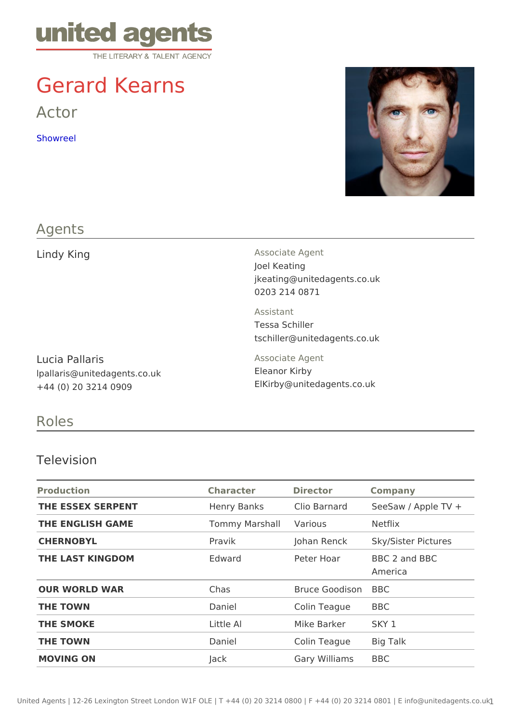# Gerard Kearns

Actor

[Showre](https://dc2.safesync.com/FgJFPcx/JHyslop/Gerard Kearns Reel 2014 LowRes.mov?a=hhZDC0dMOYk)el

### Agents

| Lindy King                                                               | Associate Agent<br>Joel Keating<br>jkeating@unitedagents.co.uk<br>0203 214 0871 |  |  |
|--------------------------------------------------------------------------|---------------------------------------------------------------------------------|--|--|
|                                                                          | Assistant<br>Tessa Schiller<br>tschiller@unitedagents.co.uk                     |  |  |
| Lucia Pallaris<br>Ipallaris@unitedagents.co.uk<br>$+44$ (0) 20 3214 0909 | Associate Agent<br>Eleanor Kirby<br>ElKirby @ unitedagents.co.uk                |  |  |

Roles

#### Television

| Production        | Character Director Company   |                      |                                              |
|-------------------|------------------------------|----------------------|----------------------------------------------|
| THE ESSEX SERPENT |                              |                      | Henry Banks Clio Barnard SeeSaw / Apple TV + |
| THE ENGLISH GAME  | Tommy Marsha Various Netflix |                      |                                              |
| CHERNOBYL         | Pravik                       |                      | Johan Renck Sky/Sister Pictures              |
| THE LAST KINGDOM  | Edward                       |                      | Peter Hoar BBC 2 and BBC<br>America          |
| OUR WORLD WAR     | Chas                         | Bruce GoodisBoBC     |                                              |
| THE TOWN          | Daniel                       | Colin TeagueBBC      |                                              |
| THE SMOKE         | Little Al                    | Mike Barker SKY 1    |                                              |
| THE TOWN          | Daniel                       | Colin TeagueBig Talk |                                              |
| MOVING ON         | Jack                         | Gary William BBC     |                                              |
|                   |                              |                      |                                              |